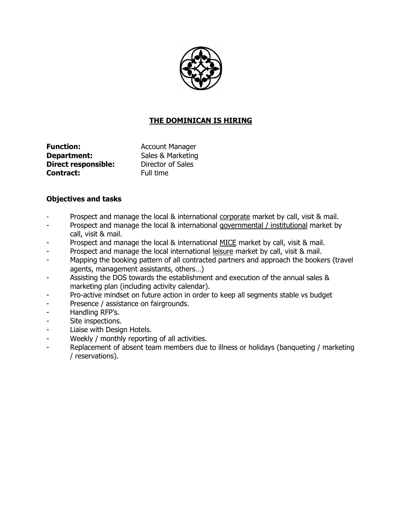

# **THE DOMINICAN IS HIRING**

**Function:** Account Manager **Department:** Sales & Marketing **Direct responsible:** Director of Sales **Contract:** Full time

## **Objectives and tasks**

- Prospect and manage the local & international corporate market by call, visit & mail.
- Prospect and manage the local & international governmental / institutional market by call, visit & mail.
- Prospect and manage the local & international MICE market by call, visit & mail.
- Prospect and manage the local international leisure market by call, visit & mail.
- Mapping the booking pattern of all contracted partners and approach the bookers (travel agents, management assistants, others…)
- Assisting the DOS towards the establishment and execution of the annual sales & marketing plan (including activity calendar).
- Pro-active mindset on future action in order to keep all segments stable vs budget
- Presence / assistance on fairgrounds.
- Handling RFP's.
- Site inspections.
- Liaise with Design Hotels.
- Weekly / monthly reporting of all activities.
- Replacement of absent team members due to illness or holidays (banqueting / marketing / reservations).